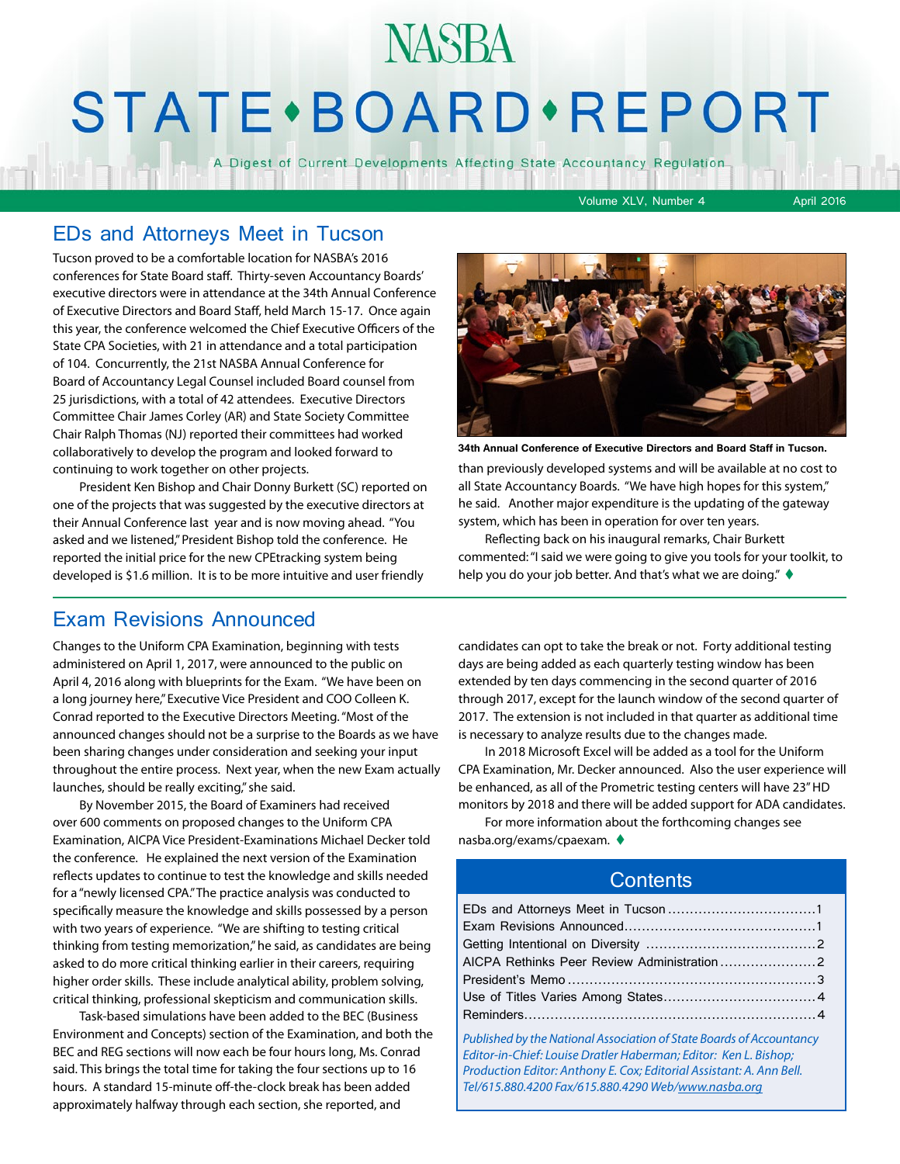## **NASBA STATE** · BOARD · REPORT

A Digest of Current Developments Affecting State Accountancy Regulation

Volume XLV, Number 4 April 2016

#### EDs and Attorneys Meet in Tucson

Tucson proved to be a comfortable location for NASBA's 2016 conferences for State Board staff. Thirty-seven Accountancy Boards' executive directors were in attendance at the 34th Annual Conference of Executive Directors and Board Staff, held March 15-17. Once again this year, the conference welcomed the Chief Executive Officers of the State CPA Societies, with 21 in attendance and a total participation of 104. Concurrently, the 21st NASBA Annual Conference for Board of Accountancy Legal Counsel included Board counsel from 25 jurisdictions, with a total of 42 attendees. Executive Directors Committee Chair James Corley (AR) and State Society Committee Chair Ralph Thomas (NJ) reported their committees had worked collaboratively to develop the program and looked forward to continuing to work together on other projects.

President Ken Bishop and Chair Donny Burkett (SC) reported on one of the projects that was suggested by the executive directors at their Annual Conference last year and is now moving ahead. "You asked and we listened," President Bishop told the conference. He reported the initial price for the new CPEtracking system being developed is \$1.6 million. It is to be more intuitive and user friendly

#### Exam Revisions Announced

Changes to the Uniform CPA Examination, beginning with tests administered on April 1, 2017, were announced to the public on April 4, 2016 along with blueprints for the Exam. "We have been on a long journey here," Executive Vice President and COO Colleen K. Conrad reported to the Executive Directors Meeting. "Most of the announced changes should not be a surprise to the Boards as we have been sharing changes under consideration and seeking your input throughout the entire process. Next year, when the new Exam actually launches, should be really exciting," she said.

By November 2015, the Board of Examiners had received over 600 comments on proposed changes to the Uniform CPA Examination, AICPA Vice President-Examinations Michael Decker told the conference. He explained the next version of the Examination reflects updates to continue to test the knowledge and skills needed for a "newly licensed CPA." The practice analysis was conducted to specifically measure the knowledge and skills possessed by a person with two years of experience. "We are shifting to testing critical thinking from testing memorization," he said, as candidates are being asked to do more critical thinking earlier in their careers, requiring higher order skills. These include analytical ability, problem solving, critical thinking, professional skepticism and communication skills.

Task-based simulations have been added to the BEC (Business Environment and Concepts) section of the Examination, and both the BEC and REG sections will now each be four hours long, Ms. Conrad said. This brings the total time for taking the four sections up to 16 hours. A standard 15-minute off-the-clock break has been added approximately halfway through each section, she reported, and



than previously developed systems and will be available at no cost to all State Accountancy Boards. "We have high hopes for this system," he said. Another major expenditure is the updating of the gateway system, which has been in operation for over ten years. **34th Annual Conference of Executive Directors and Board Staff in Tucson.**

Reflecting back on his inaugural remarks, Chair Burkett commented: "I said we were going to give you tools for your toolkit, to help you do your job better. And that's what we are doing."  $\blacklozenge$ 

candidates can opt to take the break or not. Forty additional testing days are being added as each quarterly testing window has been extended by ten days commencing in the second quarter of 2016 through 2017, except for the launch window of the second quarter of 2017. The extension is not included in that quarter as additional time is necessary to analyze results due to the changes made.

In 2018 Microsoft Excel will be added as a tool for the Uniform CPA Examination, Mr. Decker announced. Also the user experience will be enhanced, as all of the Prometric testing centers will have 23" HD monitors by 2018 and there will be added support for ADA candidates.

For more information about the forthcoming changes see nasba.org/exams/cpaexam.  $\blacklozenge$ 

#### **Contents**

| AICPA Rethinks Peer Review Administration2                                                                                                                                                                                                                              |  |
|-------------------------------------------------------------------------------------------------------------------------------------------------------------------------------------------------------------------------------------------------------------------------|--|
|                                                                                                                                                                                                                                                                         |  |
|                                                                                                                                                                                                                                                                         |  |
|                                                                                                                                                                                                                                                                         |  |
| Published by the National Association of State Boards of Accountancy<br>Editor-in-Chief: Louise Dratler Haberman; Editor: Ken L. Bishop;<br>Production Editor: Anthony E. Cox; Editorial Assistant: A. Ann Bell.<br>Tel/615.880.4200 Fax/615.880.4290 Web/www.nasba.org |  |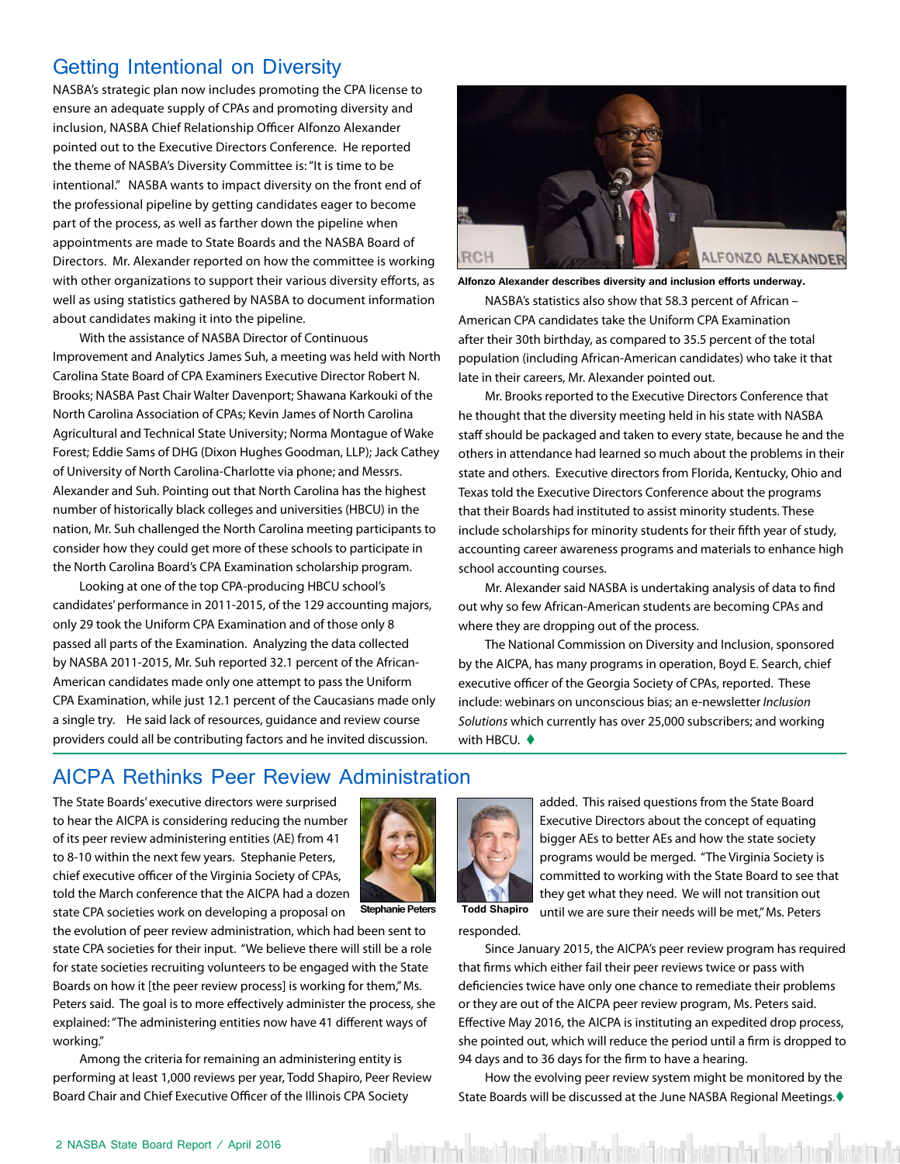#### <span id="page-1-0"></span>Getting Intentional on Diversity

NASBA's strategic plan now includes promoting the CPA license to ensure an adequate supply of CPAs and promoting diversity and inclusion, NASBA Chief Relationship Officer Alfonzo Alexander pointed out to the Executive Directors Conference. He reported the theme of NASBA's Diversity Committee is: "It is time to be intentional." NASBA wants to impact diversity on the front end of the professional pipeline by getting candidates eager to become part of the process, as well as farther down the pipeline when appointments are made to State Boards and the NASBA Board of Directors. Mr. Alexander reported on how the committee is working with other organizations to support their various diversity efforts, as well as using statistics gathered by NASBA to document information about candidates making it into the pipeline.

With the assistance of NASBA Director of Continuous Improvement and Analytics James Suh, a meeting was held with North Carolina State Board of CPA Examiners Executive Director Robert N. Brooks; NASBA Past Chair Walter Davenport; Shawana Karkouki of the North Carolina Association of CPAs; Kevin James of North Carolina Agricultural and Technical State University; Norma Montague of Wake Forest; Eddie Sams of DHG (Dixon Hughes Goodman, LLP); Jack Cathey of University of North Carolina-Charlotte via phone; and Messrs. Alexander and Suh. Pointing out that North Carolina has the highest number of historically black colleges and universities (HBCU) in the nation, Mr. Suh challenged the North Carolina meeting participants to consider how they could get more of these schools to participate in the North Carolina Board's CPA Examination scholarship program.

Looking at one of the top CPA-producing HBCU school's candidates' performance in 2011-2015, of the 129 accounting majors, only 29 took the Uniform CPA Examination and of those only 8 passed all parts of the Examination. Analyzing the data collected by NASBA 2011-2015, Mr. Suh reported 32.1 percent of the African-American candidates made only one attempt to pass the Uniform CPA Examination, while just 12.1 percent of the Caucasians made only a single try. He said lack of resources, guidance and review course providers could all be contributing factors and he invited discussion.



**Alfonzo Alexander describes diversity and inclusion efforts underway.**

NASBA's statistics also show that 58.3 percent of African – American CPA candidates take the Uniform CPA Examination after their 30th birthday, as compared to 35.5 percent of the total population (including African-American candidates) who take it that late in their careers, Mr. Alexander pointed out.

Mr. Brooks reported to the Executive Directors Conference that he thought that the diversity meeting held in his state with NASBA staff should be packaged and taken to every state, because he and the others in attendance had learned so much about the problems in their state and others. Executive directors from Florida, Kentucky, Ohio and Texas told the Executive Directors Conference about the programs that their Boards had instituted to assist minority students. These include scholarships for minority students for their fifth year of study, accounting career awareness programs and materials to enhance high school accounting courses.

Mr. Alexander said NASBA is undertaking analysis of data to find out why so few African-American students are becoming CPAs and where they are dropping out of the process.

The National Commission on Diversity and Inclusion, sponsored by the AICPA, has many programs in operation, Boyd E. Search, chief executive officer of the Georgia Society of CPAs, reported. These include: webinars on unconscious bias; an e-newsletter *Inclusion Solutions* which currently has over 25,000 subscribers; and working with HBCU.  $\blacklozenge$ 

#### AICPA Rethinks Peer Review Administration

The State Boards' executive directors were surprised to hear the AICPA is considering reducing the number of its peer review administering entities (AE) from 41 to 8-10 within the next few years. Stephanie Peters, chief executive officer of the Virginia Society of CPAs, told the March conference that the AICPA had a dozen state CPA societies work on developing a proposal on



**Stephanie Peters Todd Shapiro**

the evolution of peer review administration, which had been sent to state CPA societies for their input. "We believe there will still be a role for state societies recruiting volunteers to be engaged with the State Boards on how it [the peer review process] is working for them," Ms. Peters said. The goal is to more effectively administer the process, she explained: "The administering entities now have 41 different ways of working."

Among the criteria for remaining an administering entity is performing at least 1,000 reviews per year, Todd Shapiro, Peer Review Board Chair and Chief Executive Officer of the Illinois CPA Society



added. This raised questions from the State Board Executive Directors about the concept of equating bigger AEs to better AEs and how the state society programs would be merged. "The Virginia Society is committed to working with the State Board to see that they get what they need. We will not transition out until we are sure their needs will be met," Ms. Peters

responded.

Since January 2015, the AICPA's peer review program has required that firms which either fail their peer reviews twice or pass with deficiencies twice have only one chance to remediate their problems or they are out of the AICPA peer review program, Ms. Peters said. Effective May 2016, the AICPA is instituting an expedited drop process, she pointed out, which will reduce the period until a firm is dropped to 94 days and to 36 days for the firm to have a hearing.

How the evolving peer review system might be monitored by the State Boards will be discussed at the June NASBA Regional Meetings. $\blacklozenge$ 

kitaban dan kitabatan dan bitaban dan basa dan dan bitaban dan barat b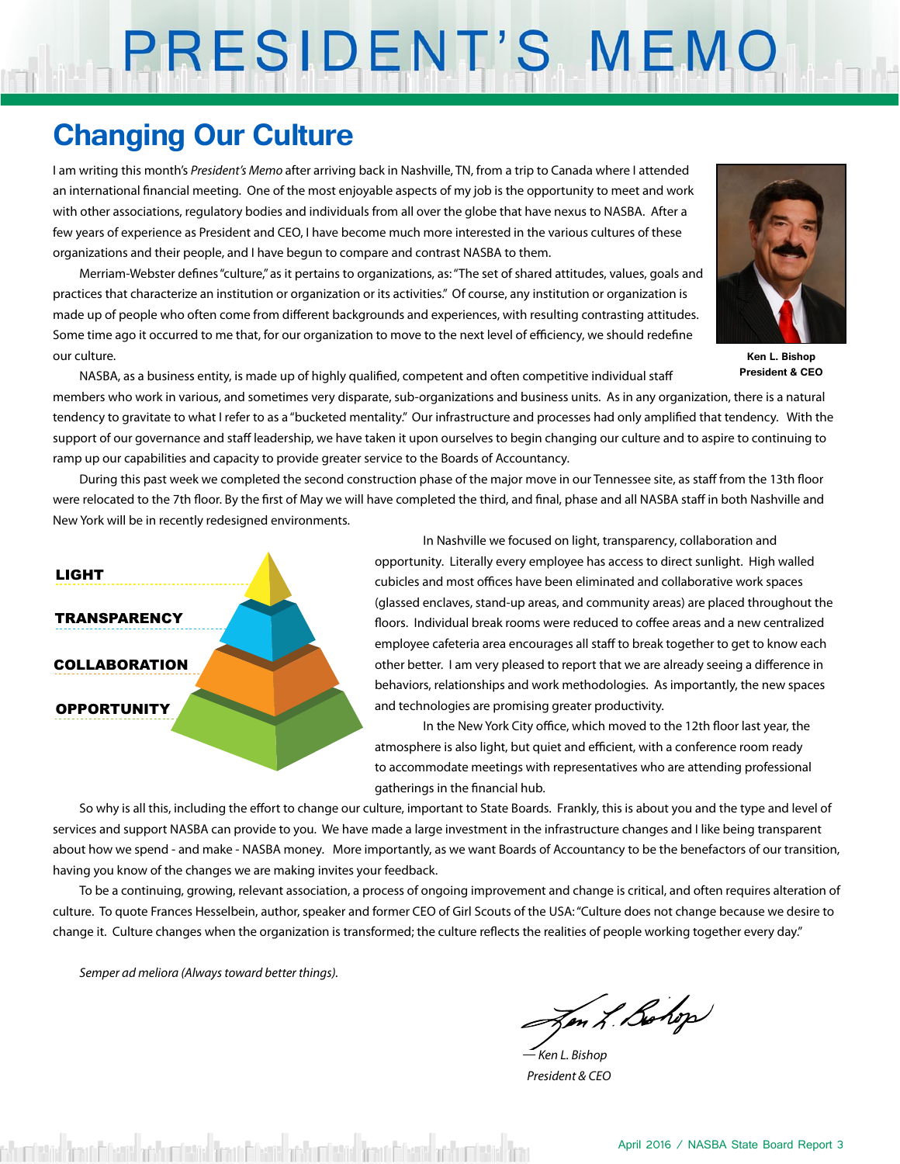# PRESIDENT'S MEMO

## **Changing Our Culture**

I am writing this month's *President's Memo* after arriving back in Nashville, TN, from a trip to Canada where I attended an international financial meeting. One of the most enjoyable aspects of my job is the opportunity to meet and work with other associations, regulatory bodies and individuals from all over the globe that have nexus to NASBA. After a few years of experience as President and CEO, I have become much more interested in the various cultures of these organizations and their people, and I have begun to compare and contrast NASBA to them.

Merriam-Webster defines "culture," as it pertains to organizations, as: "The set of shared attitudes, values, goals and practices that characterize an institution or organization or its activities." Of course, any institution or organization is made up of people who often come from different backgrounds and experiences, with resulting contrasting attitudes. Some time ago it occurred to me that, for our organization to move to the next level of efficiency, we should redefine our culture.



**Ken L. Bishop President & CEO**

NASBA, as a business entity, is made up of highly qualified, competent and often competitive individual staff

members who work in various, and sometimes very disparate, sub-organizations and business units. As in any organization, there is a natural tendency to gravitate to what I refer to as a "bucketed mentality." Our infrastructure and processes had only amplified that tendency. With the support of our governance and staff leadership, we have taken it upon ourselves to begin changing our culture and to aspire to continuing to ramp up our capabilities and capacity to provide greater service to the Boards of Accountancy.

During this past week we completed the second construction phase of the major move in our Tennessee site, as staff from the 13th floor were relocated to the 7th floor. By the first of May we will have completed the third, and final, phase and all NASBA staff in both Nashville and New York will be in recently redesigned environments.



In Nashville we focused on light, transparency, collaboration and opportunity. Literally every employee has access to direct sunlight. High walled cubicles and most offices have been eliminated and collaborative work spaces (glassed enclaves, stand-up areas, and community areas) are placed throughout the floors. Individual break rooms were reduced to coffee areas and a new centralized employee cafeteria area encourages all staff to break together to get to know each other better. I am very pleased to report that we are already seeing a difference in behaviors, relationships and work methodologies. As importantly, the new spaces and technologies are promising greater productivity.

In the New York City office, which moved to the 12th floor last year, the atmosphere is also light, but quiet and efficient, with a conference room ready to accommodate meetings with representatives who are attending professional gatherings in the financial hub.

So why is all this, including the effort to change our culture, important to State Boards. Frankly, this is about you and the type and level of services and support NASBA can provide to you. We have made a large investment in the infrastructure changes and I like being transparent about how we spend - and make - NASBA money. More importantly, as we want Boards of Accountancy to be the benefactors of our transition, having you know of the changes we are making invites your feedback.

To be a continuing, growing, relevant association, a process of ongoing improvement and change is critical, and often requires alteration of culture. To quote Frances Hesselbein, author, speaker and former CEO of Girl Scouts of the USA: "Culture does not change because we desire to change it. Culture changes when the organization is transformed; the culture reflects the realities of people working together every day."

*Semper ad meliora (Always toward better things).*

m L. Bohop

*— Ken L. Bishop President & CEO*

mission describitoris addumission describitoris addumission describitoris descriptions des cristantes descriptions